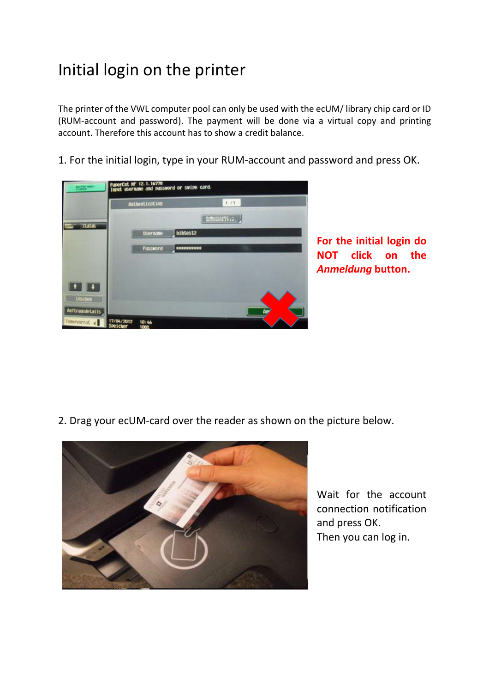## Initial login on the printer

The printer of the VWL computer pool can only be used with the ecUM/ library chip card or ID (RUM-account and password). The payment will be done via a virtual copy and printing account. Therefore this account has to show a credit balance.

1. For the initial login, type in your RUM-account and password and press OK.



**For the initial login do NOT click on the**  *Anmeldung* **button.** 

2. Drag your ecUM-card over the reader as shown on the picture below.



Wait for the account connection notification and press OK. Then you can log in.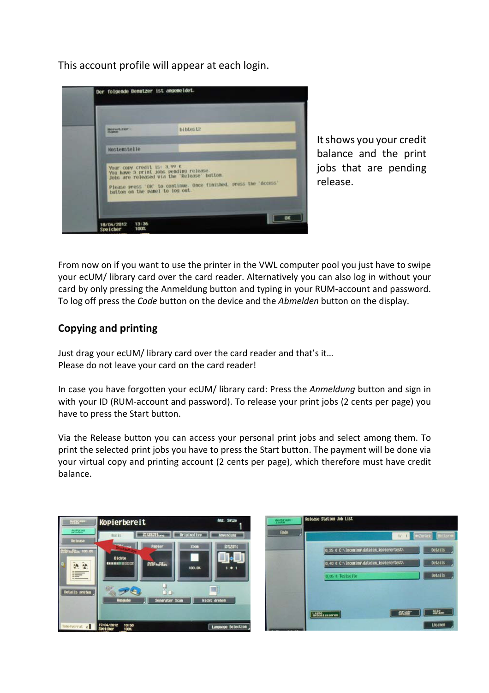This account profile will appear at each login.



It shows you your credit balance and the print jobs that are pending release.

From now on if you want to use the printer in the VWL computer pool you just have to swipe your ecUM/ library card over the card reader. Alternatively you can also log in without your card by only pressing the Anmeldung button and typing in your RUM-account and password. To log off press the *Code* button on the device and the *Abmelden* button on the display.

## **Copying and printing**

Just drag your ecUM/ library card over the card reader and that's it… Please do not leave your card on the card reader!

In case you have forgotten your ecUM/ library card: Press the *Anmeldung* button and sign in with your ID (RUM-account and password). To release your print jobs (2 cents per page) you have to press the Start button.

Via the Release button you can access your personal print jobs and select among them. To print the selected print jobs you have to press the Start button. The payment will be done via your virtual copy and printing account (2 cents per page), which therefore must have credit balance.